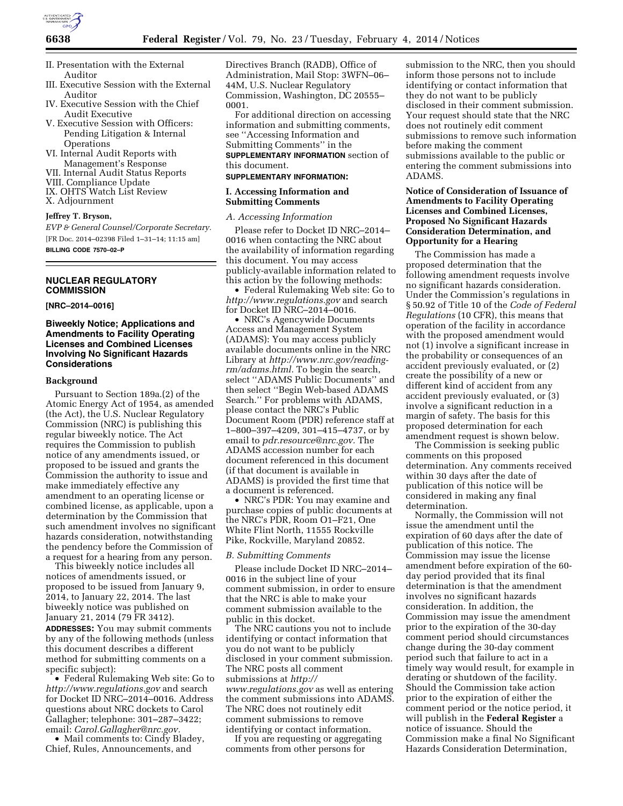

- II. Presentation with the External Auditor
- III. Executive Session with the External Auditor
- IV. Executive Session with the Chief Audit Executive
- V. Executive Session with Officers: Pending Litigation & Internal **Operations**
- VI. Internal Audit Reports with Management's Response
- VII. Internal Audit Status Reports
- VIII. Compliance Update
- IX. OHTS Watch List Review
- X. Adjournment

# **Jeffrey T. Bryson,**

*EVP & General Counsel/Corporate Secretary.*  [FR Doc. 2014–02398 Filed 1–31–14; 11:15 am] **BILLING CODE 7570–02–P** 

## **NUCLEAR REGULATORY COMMISSION**

**[NRC–2014–0016]** 

## **Biweekly Notice; Applications and Amendments to Facility Operating Licenses and Combined Licenses Involving No Significant Hazards Considerations**

#### **Background**

Pursuant to Section 189a.(2) of the Atomic Energy Act of 1954, as amended (the Act), the U.S. Nuclear Regulatory Commission (NRC) is publishing this regular biweekly notice. The Act requires the Commission to publish notice of any amendments issued, or proposed to be issued and grants the Commission the authority to issue and make immediately effective any amendment to an operating license or combined license, as applicable, upon a determination by the Commission that such amendment involves no significant hazards consideration, notwithstanding the pendency before the Commission of a request for a hearing from any person.

This biweekly notice includes all notices of amendments issued, or proposed to be issued from January 9, 2014, to January 22, 2014. The last biweekly notice was published on January 21, 2014 (79 FR 3412). **ADDRESSES:** You may submit comments by any of the following methods (unless this document describes a different method for submitting comments on a specific subject):

• Federal Rulemaking Web site: Go to *<http://www.regulations.gov>* and search for Docket ID NRC–2014–0016. Address questions about NRC dockets to Carol Gallagher; telephone: 301–287–3422; email: *[Carol.Gallagher@nrc.gov.](mailto:Carol.Gallagher@nrc.gov)* 

• Mail comments to: Cindy Bladey, Chief, Rules, Announcements, and

Directives Branch (RADB), Office of Administration, Mail Stop: 3WFN–06– 44M, U.S. Nuclear Regulatory Commission, Washington, DC 20555– 0001.

For additional direction on accessing information and submitting comments, see ''Accessing Information and Submitting Comments'' in the **SUPPLEMENTARY INFORMATION** section of this document.

#### **SUPPLEMENTARY INFORMATION:**

#### **I. Accessing Information and Submitting Comments**

### *A. Accessing Information*

Please refer to Docket ID NRC–2014– 0016 when contacting the NRC about the availability of information regarding this document. You may access publicly-available information related to this action by the following methods:

• Federal Rulemaking Web site: Go to *<http://www.regulations.gov>* and search for Docket ID NRC–2014–0016.

• NRC's Agencywide Documents Access and Management System (ADAMS): You may access publicly available documents online in the NRC Library at *[http://www.nrc.gov/reading](http://www.nrc.gov/reading-rm/adams.html)[rm/adams.html.](http://www.nrc.gov/reading-rm/adams.html)* To begin the search, select ''ADAMS Public Documents'' and then select ''Begin Web-based ADAMS Search.'' For problems with ADAMS, please contact the NRC's Public Document Room (PDR) reference staff at 1–800–397–4209, 301–415–4737, or by email to *[pdr.resource@nrc.gov.](mailto:pdr.resource@nrc.gov)* The ADAMS accession number for each document referenced in this document (if that document is available in ADAMS) is provided the first time that a document is referenced.

• NRC's PDR: You may examine and purchase copies of public documents at the NRC's PDR, Room O1–F21, One White Flint North, 11555 Rockville Pike, Rockville, Maryland 20852.

#### *B. Submitting Comments*

Please include Docket ID NRC–2014– 0016 in the subject line of your comment submission, in order to ensure that the NRC is able to make your comment submission available to the public in this docket.

The NRC cautions you not to include identifying or contact information that you do not want to be publicly disclosed in your comment submission. The NRC posts all comment submissions at *[http://](http://www.regulations.gov) [www.regulations.gov](http://www.regulations.gov)* as well as entering the comment submissions into ADAMS. The NRC does not routinely edit comment submissions to remove identifying or contact information.

If you are requesting or aggregating comments from other persons for

submission to the NRC, then you should inform those persons not to include identifying or contact information that they do not want to be publicly disclosed in their comment submission. Your request should state that the NRC does not routinely edit comment submissions to remove such information before making the comment submissions available to the public or entering the comment submissions into ADAMS.

## **Notice of Consideration of Issuance of Amendments to Facility Operating Licenses and Combined Licenses, Proposed No Significant Hazards Consideration Determination, and Opportunity for a Hearing**

The Commission has made a proposed determination that the following amendment requests involve no significant hazards consideration. Under the Commission's regulations in § 50.92 of Title 10 of the *Code of Federal Regulations* (10 CFR), this means that operation of the facility in accordance with the proposed amendment would not (1) involve a significant increase in the probability or consequences of an accident previously evaluated, or (2) create the possibility of a new or different kind of accident from any accident previously evaluated, or (3) involve a significant reduction in a margin of safety. The basis for this proposed determination for each amendment request is shown below.

The Commission is seeking public comments on this proposed determination. Any comments received within 30 days after the date of publication of this notice will be considered in making any final determination.

Normally, the Commission will not issue the amendment until the expiration of 60 days after the date of publication of this notice. The Commission may issue the license amendment before expiration of the 60 day period provided that its final determination is that the amendment involves no significant hazards consideration. In addition, the Commission may issue the amendment prior to the expiration of the 30-day comment period should circumstances change during the 30-day comment period such that failure to act in a timely way would result, for example in derating or shutdown of the facility. Should the Commission take action prior to the expiration of either the comment period or the notice period, it will publish in the **Federal Register** a notice of issuance. Should the Commission make a final No Significant Hazards Consideration Determination,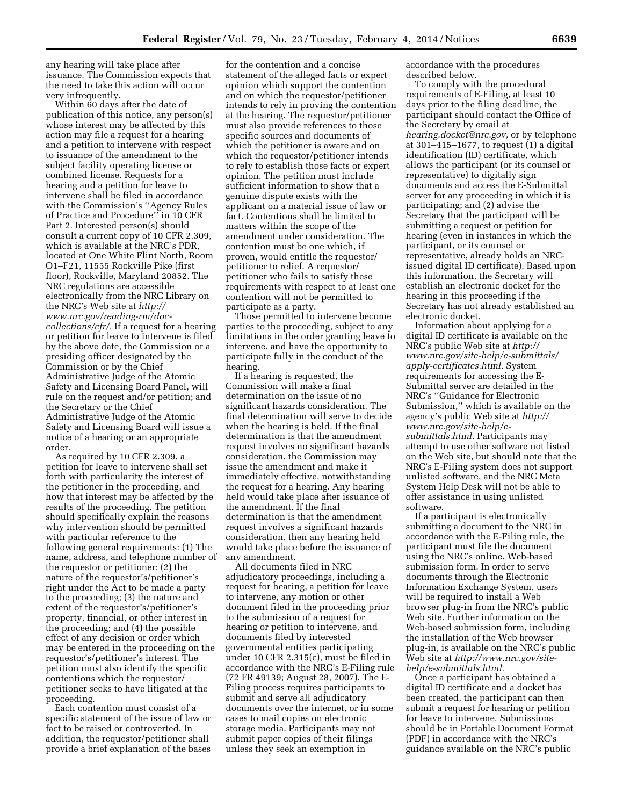any hearing will take place after issuance. The Commission expects that the need to take this action will occur very infrequently.

Within 60 days after the date of publication of this notice, any person(s) whose interest may be affected by this action may file a request for a hearing and a petition to intervene with respect to issuance of the amendment to the subject facility operating license or combined license. Requests for a hearing and a petition for leave to intervene shall be filed in accordance with the Commission's ''Agency Rules of Practice and Procedure'' in 10 CFR Part 2. Interested person(s) should consult a current copy of 10 CFR 2.309, which is available at the NRC's PDR, located at One White Flint North, Room O1–F21, 11555 Rockville Pike (first floor), Rockville, Maryland 20852. The NRC regulations are accessible electronically from the NRC Library on the NRC's Web site at *[http://](http://www.nrc.gov/reading-rm/doc-collections/cfr/) [www.nrc.gov/reading-rm/doc](http://www.nrc.gov/reading-rm/doc-collections/cfr/)[collections/cfr/.](http://www.nrc.gov/reading-rm/doc-collections/cfr/)* If a request for a hearing or petition for leave to intervene is filed by the above date, the Commission or a presiding officer designated by the Commission or by the Chief Administrative Judge of the Atomic Safety and Licensing Board Panel, will rule on the request and/or petition; and the Secretary or the Chief Administrative Judge of the Atomic Safety and Licensing Board will issue a notice of a hearing or an appropriate order.

As required by 10 CFR 2.309, a petition for leave to intervene shall set forth with particularity the interest of the petitioner in the proceeding, and how that interest may be affected by the results of the proceeding. The petition should specifically explain the reasons why intervention should be permitted with particular reference to the following general requirements: (1) The name, address, and telephone number of the requestor or petitioner; (2) the nature of the requestor's/petitioner's right under the Act to be made a party to the proceeding; (3) the nature and extent of the requestor's/petitioner's property, financial, or other interest in the proceeding; and (4) the possible effect of any decision or order which may be entered in the proceeding on the requestor's/petitioner's interest. The petition must also identify the specific contentions which the requestor/ petitioner seeks to have litigated at the proceeding.

Each contention must consist of a specific statement of the issue of law or fact to be raised or controverted. In addition, the requestor/petitioner shall provide a brief explanation of the bases

for the contention and a concise statement of the alleged facts or expert opinion which support the contention and on which the requestor/petitioner intends to rely in proving the contention at the hearing. The requestor/petitioner must also provide references to those specific sources and documents of which the petitioner is aware and on which the requestor/petitioner intends to rely to establish those facts or expert opinion. The petition must include sufficient information to show that a genuine dispute exists with the applicant on a material issue of law or fact. Contentions shall be limited to matters within the scope of the amendment under consideration. The contention must be one which, if proven, would entitle the requestor/ petitioner to relief. A requestor/ petitioner who fails to satisfy these requirements with respect to at least one contention will not be permitted to participate as a party.

Those permitted to intervene become parties to the proceeding, subject to any limitations in the order granting leave to intervene, and have the opportunity to participate fully in the conduct of the hearing.

If a hearing is requested, the Commission will make a final determination on the issue of no significant hazards consideration. The final determination will serve to decide when the hearing is held. If the final determination is that the amendment request involves no significant hazards consideration, the Commission may issue the amendment and make it immediately effective, notwithstanding the request for a hearing. Any hearing held would take place after issuance of the amendment. If the final determination is that the amendment request involves a significant hazards consideration, then any hearing held would take place before the issuance of any amendment.

All documents filed in NRC adjudicatory proceedings, including a request for hearing, a petition for leave to intervene, any motion or other document filed in the proceeding prior to the submission of a request for hearing or petition to intervene, and documents filed by interested governmental entities participating under 10 CFR 2.315(c), must be filed in accordance with the NRC's E-Filing rule (72 FR 49139; August 28, 2007). The E-Filing process requires participants to submit and serve all adjudicatory documents over the internet, or in some cases to mail copies on electronic storage media. Participants may not submit paper copies of their filings unless they seek an exemption in

accordance with the procedures described below.

To comply with the procedural requirements of E-Filing, at least 10 days prior to the filing deadline, the participant should contact the Office of the Secretary by email at *[hearing.docket@nrc.gov,](mailto:hearing.docket@nrc.gov)* or by telephone at 301–415–1677, to request (1) a digital identification (ID) certificate, which allows the participant (or its counsel or representative) to digitally sign documents and access the E-Submittal server for any proceeding in which it is participating; and (2) advise the Secretary that the participant will be submitting a request or petition for hearing (even in instances in which the participant, or its counsel or representative, already holds an NRCissued digital ID certificate). Based upon this information, the Secretary will establish an electronic docket for the hearing in this proceeding if the Secretary has not already established an electronic docket.

Information about applying for a digital ID certificate is available on the NRC's public Web site at *[http://](http://www.nrc.gov/site-help/e-submittals/apply-certificates.html) [www.nrc.gov/site-help/e-submittals/](http://www.nrc.gov/site-help/e-submittals/apply-certificates.html) [apply-certificates.html.](http://www.nrc.gov/site-help/e-submittals/apply-certificates.html)* System requirements for accessing the E-Submittal server are detailed in the NRC's ''Guidance for Electronic Submission,'' which is available on the agency's public Web site at *[http://](http://www.nrc.gov/site-help/e-submittals.html) [www.nrc.gov/site-help/e](http://www.nrc.gov/site-help/e-submittals.html)[submittals.html.](http://www.nrc.gov/site-help/e-submittals.html)* Participants may attempt to use other software not listed on the Web site, but should note that the NRC's E-Filing system does not support unlisted software, and the NRC Meta System Help Desk will not be able to offer assistance in using unlisted software.

If a participant is electronically submitting a document to the NRC in accordance with the E-Filing rule, the participant must file the document using the NRC's online, Web-based submission form. In order to serve documents through the Electronic Information Exchange System, users will be required to install a Web browser plug-in from the NRC's public Web site. Further information on the Web-based submission form, including the installation of the Web browser plug-in, is available on the NRC's public Web site at *[http://www.nrc.gov/site](http://www.nrc.gov/site-help/e-submittals.html)[help/e-submittals.html.](http://www.nrc.gov/site-help/e-submittals.html)* 

Once a participant has obtained a digital ID certificate and a docket has been created, the participant can then submit a request for hearing or petition for leave to intervene. Submissions should be in Portable Document Format (PDF) in accordance with the NRC's guidance available on the NRC's public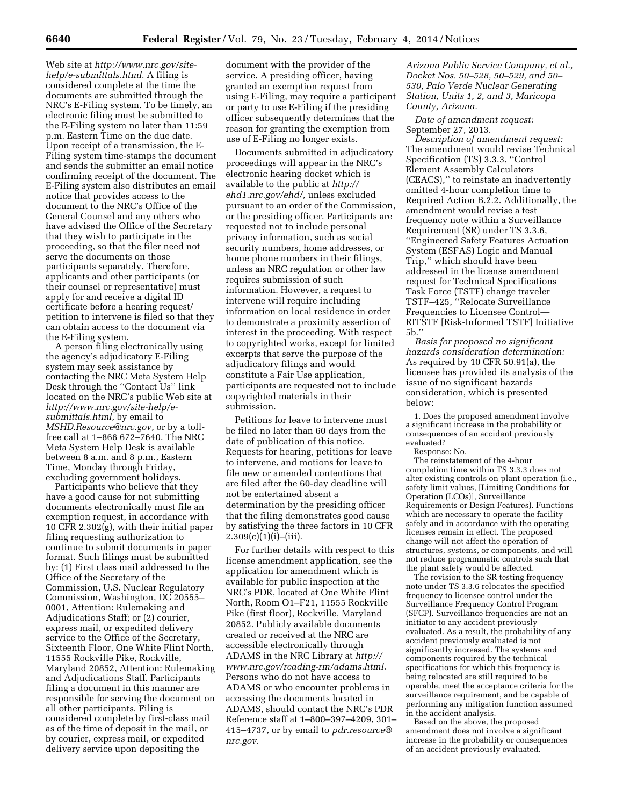Web site at *[http://www.nrc.gov/site](http://www.nrc.gov/site-help/e-submittals.html)[help/e-submittals.html.](http://www.nrc.gov/site-help/e-submittals.html)* A filing is considered complete at the time the documents are submitted through the NRC's E-Filing system. To be timely, an electronic filing must be submitted to the E-Filing system no later than 11:59 p.m. Eastern Time on the due date. Upon receipt of a transmission, the E-Filing system time-stamps the document and sends the submitter an email notice confirming receipt of the document. The E-Filing system also distributes an email notice that provides access to the document to the NRC's Office of the General Counsel and any others who have advised the Office of the Secretary that they wish to participate in the proceeding, so that the filer need not serve the documents on those participants separately. Therefore, applicants and other participants (or their counsel or representative) must apply for and receive a digital ID certificate before a hearing request/ petition to intervene is filed so that they can obtain access to the document via the E-Filing system.

A person filing electronically using the agency's adjudicatory E-Filing system may seek assistance by contacting the NRC Meta System Help Desk through the ''Contact Us'' link located on the NRC's public Web site at *[http://www.nrc.gov/site-help/e](http://www.nrc.gov/site-help/e-submittals.html)[submittals.html,](http://www.nrc.gov/site-help/e-submittals.html)* by email to *[MSHD.Resource@nrc.gov,](mailto:MSHD.Resource@nrc.gov)* or by a tollfree call at 1–866 672–7640. The NRC Meta System Help Desk is available between 8 a.m. and 8 p.m., Eastern Time, Monday through Friday, excluding government holidays.

Participants who believe that they have a good cause for not submitting documents electronically must file an exemption request, in accordance with 10 CFR 2.302(g), with their initial paper filing requesting authorization to continue to submit documents in paper format. Such filings must be submitted by: (1) First class mail addressed to the Office of the Secretary of the Commission, U.S. Nuclear Regulatory Commission, Washington, DC 20555– 0001, Attention: Rulemaking and Adjudications Staff; or (2) courier, express mail, or expedited delivery service to the Office of the Secretary, Sixteenth Floor, One White Flint North, 11555 Rockville Pike, Rockville, Maryland 20852, Attention: Rulemaking and Adjudications Staff. Participants filing a document in this manner are responsible for serving the document on all other participants. Filing is considered complete by first-class mail as of the time of deposit in the mail, or by courier, express mail, or expedited delivery service upon depositing the

document with the provider of the service. A presiding officer, having granted an exemption request from using E-Filing, may require a participant or party to use E-Filing if the presiding officer subsequently determines that the reason for granting the exemption from use of E-Filing no longer exists.

Documents submitted in adjudicatory proceedings will appear in the NRC's electronic hearing docket which is available to the public at *[http://](http://ehd1.nrc.gov/ehd/) [ehd1.nrc.gov/ehd/,](http://ehd1.nrc.gov/ehd/)* unless excluded pursuant to an order of the Commission, or the presiding officer. Participants are requested not to include personal privacy information, such as social security numbers, home addresses, or home phone numbers in their filings, unless an NRC regulation or other law requires submission of such information. However, a request to intervene will require including information on local residence in order to demonstrate a proximity assertion of interest in the proceeding. With respect to copyrighted works, except for limited excerpts that serve the purpose of the adjudicatory filings and would constitute a Fair Use application, participants are requested not to include copyrighted materials in their submission.

Petitions for leave to intervene must be filed no later than 60 days from the date of publication of this notice. Requests for hearing, petitions for leave to intervene, and motions for leave to file new or amended contentions that are filed after the 60-day deadline will not be entertained absent a determination by the presiding officer that the filing demonstrates good cause by satisfying the three factors in 10 CFR  $2.309(c)(1)(i)–(iii).$ 

For further details with respect to this license amendment application, see the application for amendment which is available for public inspection at the NRC's PDR, located at One White Flint North, Room O1–F21, 11555 Rockville Pike (first floor), Rockville, Maryland 20852. Publicly available documents created or received at the NRC are accessible electronically through ADAMS in the NRC Library at *[http://](http://www.nrc.gov/reading-rm/adams.html) [www.nrc.gov/reading-rm/adams.html.](http://www.nrc.gov/reading-rm/adams.html)*  Persons who do not have access to ADAMS or who encounter problems in accessing the documents located in ADAMS, should contact the NRC's PDR Reference staff at 1–800–397–4209, 301– 415–4737, or by email to *[pdr.resource@](mailto:pdr.resource@nrc.gov) [nrc.gov.](mailto:pdr.resource@nrc.gov)* 

*Arizona Public Service Company, et al., Docket Nos. 50–528, 50–529, and 50– 530, Palo Verde Nuclear Generating Station, Units 1, 2, and 3, Maricopa County, Arizona.* 

*Date of amendment request:*  September 27, 2013.

*Description of amendment request:*  The amendment would revise Technical Specification (TS) 3.3.3, ''Control Element Assembly Calculators (CEACS),'' to reinstate an inadvertently omitted 4-hour completion time to Required Action B.2.2. Additionally, the amendment would revise a test frequency note within a Surveillance Requirement (SR) under TS 3.3.6, ''Engineered Safety Features Actuation System (ESFAS) Logic and Manual Trip,'' which should have been addressed in the license amendment request for Technical Specifications Task Force (TSTF) change traveler TSTF–425, ''Relocate Surveillance Frequencies to Licensee Control— RITSTF [Risk-Informed TSTF] Initiative 5b.''

*Basis for proposed no significant hazards consideration determination:*  As required by 10 CFR 50.91(a), the licensee has provided its analysis of the issue of no significant hazards consideration, which is presented below:

1. Does the proposed amendment involve a significant increase in the probability or consequences of an accident previously evaluated?

Response: No.

The reinstatement of the 4-hour completion time within TS 3.3.3 does not alter existing controls on plant operation (i.e., safety limit values, [Limiting Conditions for Operation (LCOs)], Surveillance Requirements or Design Features). Functions which are necessary to operate the facility safely and in accordance with the operating licenses remain in effect. The proposed change will not affect the operation of structures, systems, or components, and will not reduce programmatic controls such that the plant safety would be affected.

The revision to the SR testing frequency note under TS 3.3.6 relocates the specified frequency to licensee control under the Surveillance Frequency Control Program (SFCP). Surveillance frequencies are not an initiator to any accident previously evaluated. As a result, the probability of any accident previously evaluated is not significantly increased. The systems and components required by the technical specifications for which this frequency is being relocated are still required to be operable, meet the acceptance criteria for the surveillance requirement, and be capable of performing any mitigation function assumed in the accident analysis.

Based on the above, the proposed amendment does not involve a significant increase in the probability or consequences of an accident previously evaluated.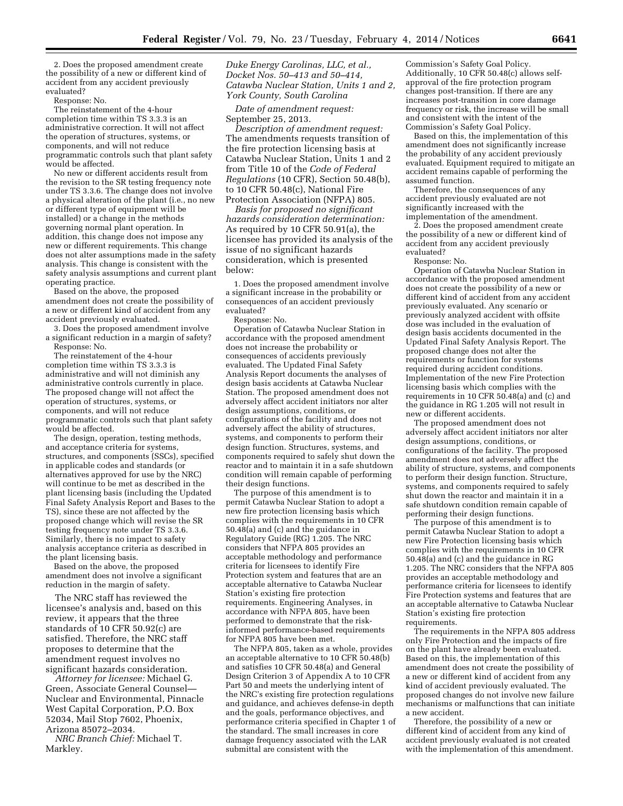2. Does the proposed amendment create the possibility of a new or different kind of accident from any accident previously evaluated?

Response: No.

The reinstatement of the 4-hour completion time within TS 3.3.3 is an administrative correction. It will not affect the operation of structures, systems, or components, and will not reduce programmatic controls such that plant safety would be affected.

No new or different accidents result from the revision to the SR testing frequency note under TS 3.3.6. The change does not involve a physical alteration of the plant (i.e., no new or different type of equipment will be installed) or a change in the methods governing normal plant operation. In addition, this change does not impose any new or different requirements. This change does not alter assumptions made in the safety analysis. This change is consistent with the safety analysis assumptions and current plant operating practice.

Based on the above, the proposed amendment does not create the possibility of a new or different kind of accident from any accident previously evaluated.

3. Does the proposed amendment involve a significant reduction in a margin of safety? Response: No.

The reinstatement of the 4-hour completion time within TS 3.3.3 is administrative and will not diminish any administrative controls currently in place. The proposed change will not affect the operation of structures, systems, or components, and will not reduce programmatic controls such that plant safety would be affected.

The design, operation, testing methods, and acceptance criteria for systems, structures, and components (SSCs), specified in applicable codes and standards (or alternatives approved for use by the NRC) will continue to be met as described in the plant licensing basis (including the Updated Final Safety Analysis Report and Bases to the TS), since these are not affected by the proposed change which will revise the SR testing frequency note under TS 3.3.6. Similarly, there is no impact to safety analysis acceptance criteria as described in the plant licensing basis.

Based on the above, the proposed amendment does not involve a significant reduction in the margin of safety.

The NRC staff has reviewed the licensee's analysis and, based on this review, it appears that the three standards of 10 CFR 50.92(c) are satisfied. Therefore, the NRC staff proposes to determine that the amendment request involves no significant hazards consideration.

*Attorney for licensee:* Michael G. Green, Associate General Counsel— Nuclear and Environmental, Pinnacle West Capital Corporation, P.O. Box 52034, Mail Stop 7602, Phoenix, Arizona 85072–2034.

*NRC Branch Chief:* Michael T. Markley.

*Duke Energy Carolinas, LLC, et al., Docket Nos. 50–413 and 50–414, Catawba Nuclear Station, Units 1 and 2, York County, South Carolina* 

*Date of amendment request:*  September 25, 2013.

*Description of amendment request:*  The amendments requests transition of the fire protection licensing basis at Catawba Nuclear Station, Units 1 and 2 from Title 10 of the *Code of Federal Regulations* (10 CFR), Section 50.48(b), to 10 CFR 50.48(c), National Fire Protection Association (NFPA) 805.

*Basis for proposed no significant hazards consideration determination:*  As required by 10 CFR 50.91(a), the licensee has provided its analysis of the issue of no significant hazards consideration, which is presented below:

1. Does the proposed amendment involve a significant increase in the probability or consequences of an accident previously evaluated?

Response: No.

Operation of Catawba Nuclear Station in accordance with the proposed amendment does not increase the probability or consequences of accidents previously evaluated. The Updated Final Safety Analysis Report documents the analyses of design basis accidents at Catawba Nuclear Station. The proposed amendment does not adversely affect accident initiators nor alter design assumptions, conditions, or configurations of the facility and does not adversely affect the ability of structures, systems, and components to perform their design function. Structures, systems, and components required to safely shut down the reactor and to maintain it in a safe shutdown condition will remain capable of performing their design functions.

The purpose of this amendment is to permit Catawba Nuclear Station to adopt a new fire protection licensing basis which complies with the requirements in 10 CFR 50.48(a) and (c) and the guidance in Regulatory Guide (RG) 1.205. The NRC considers that NFPA 805 provides an acceptable methodology and performance criteria for licensees to identify Fire Protection system and features that are an acceptable alternative to Catawba Nuclear Station's existing fire protection requirements. Engineering Analyses, in accordance with NFPA 805, have been performed to demonstrate that the riskinformed performance-based requirements for NFPA 805 have been met.

The NFPA 805, taken as a whole, provides an acceptable alternative to 10 CFR 50.48(b) and satisfies 10 CFR 50.48(a) and General Design Criterion 3 of Appendix A to 10 CFR Part 50 and meets the underlying intent of the NRC's existing fire protection regulations and guidance, and achieves defense-in depth and the goals, performance objectives, and performance criteria specified in Chapter 1 of the standard. The small increases in core damage frequency associated with the LAR submittal are consistent with the

Commission's Safety Goal Policy. Additionally, 10 CFR 50.48(c) allows selfapproval of the fire protection program changes post-transition. If there are any increases post-transition in core damage frequency or risk, the increase will be small and consistent with the intent of the Commission's Safety Goal Policy.

Based on this, the implementation of this amendment does not significantly increase the probability of any accident previously evaluated. Equipment required to mitigate an accident remains capable of performing the assumed function.

Therefore, the consequences of any accident previously evaluated are not significantly increased with the implementation of the amendment.

2. Does the proposed amendment create the possibility of a new or different kind of accident from any accident previously evaluated?

Response: No.

Operation of Catawba Nuclear Station in accordance with the proposed amendment does not create the possibility of a new or different kind of accident from any accident previously evaluated. Any scenario or previously analyzed accident with offsite dose was included in the evaluation of design basis accidents documented in the Updated Final Safety Analysis Report. The proposed change does not alter the requirements or function for systems required during accident conditions. Implementation of the new Fire Protection licensing basis which complies with the requirements in 10 CFR 50.48(a) and (c) and the guidance in RG 1.205 will not result in new or different accidents.

The proposed amendment does not adversely affect accident initiators nor alter design assumptions, conditions, or configurations of the facility. The proposed amendment does not adversely affect the ability of structure, systems, and components to perform their design function. Structure, systems, and components required to safely shut down the reactor and maintain it in a safe shutdown condition remain capable of performing their design functions.

The purpose of this amendment is to permit Catawba Nuclear Station to adopt a new Fire Protection licensing basis which complies with the requirements in 10 CFR  $50.48(a)$  and (c) and the guidance in RG 1.205. The NRC considers that the NFPA 805 provides an acceptable methodology and performance criteria for licensees to identify Fire Protection systems and features that are an acceptable alternative to Catawba Nuclear Station's existing fire protection requirements.

The requirements in the NFPA 805 address only Fire Protection and the impacts of fire on the plant have already been evaluated. Based on this, the implementation of this amendment does not create the possibility of a new or different kind of accident from any kind of accident previously evaluated. The proposed changes do not involve new failure mechanisms or malfunctions that can initiate a new accident.

Therefore, the possibility of a new or different kind of accident from any kind of accident previously evaluated is not created with the implementation of this amendment.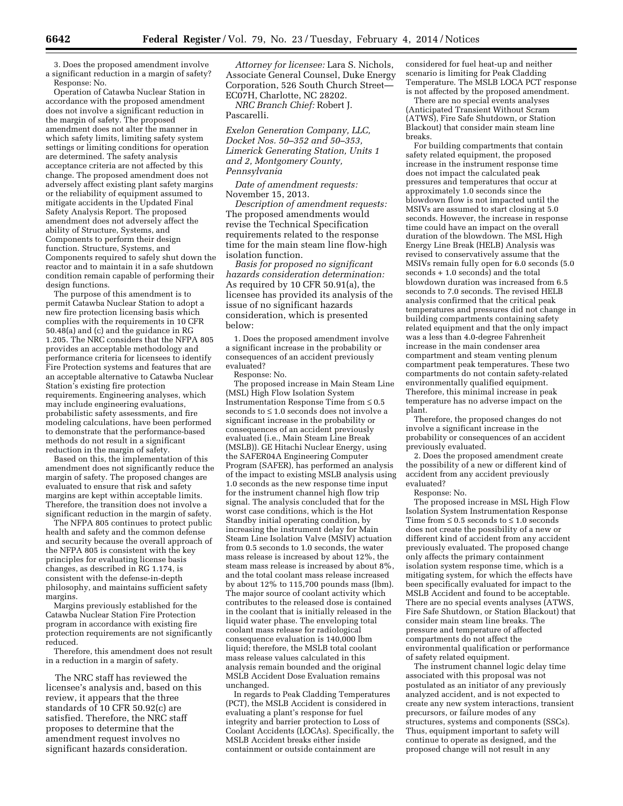3. Does the proposed amendment involve a significant reduction in a margin of safety? Response: No.

Operation of Catawba Nuclear Station in accordance with the proposed amendment does not involve a significant reduction in the margin of safety. The proposed amendment does not alter the manner in which safety limits, limiting safety system settings or limiting conditions for operation are determined. The safety analysis acceptance criteria are not affected by this change. The proposed amendment does not adversely affect existing plant safety margins or the reliability of equipment assumed to mitigate accidents in the Updated Final Safety Analysis Report. The proposed amendment does not adversely affect the ability of Structure, Systems, and Components to perform their design function. Structure, Systems, and Components required to safely shut down the reactor and to maintain it in a safe shutdown condition remain capable of performing their design functions.

The purpose of this amendment is to permit Catawba Nuclear Station to adopt a new fire protection licensing basis which complies with the requirements in 10 CFR 50.48(a) and (c) and the guidance in RG 1.205. The NRC considers that the NFPA 805 provides an acceptable methodology and performance criteria for licensees to identify Fire Protection systems and features that are an acceptable alternative to Catawba Nuclear Station's existing fire protection requirements. Engineering analyses, which may include engineering evaluations, probabilistic safety assessments, and fire modeling calculations, have been performed to demonstrate that the performance-based methods do not result in a significant reduction in the margin of safety.

Based on this, the implementation of this amendment does not significantly reduce the margin of safety. The proposed changes are evaluated to ensure that risk and safety margins are kept within acceptable limits. Therefore, the transition does not involve a significant reduction in the margin of safety.

The NFPA 805 continues to protect public health and safety and the common defense and security because the overall approach of the NFPA 805 is consistent with the key principles for evaluating license basis changes, as described in RG 1.174, is consistent with the defense-in-depth philosophy, and maintains sufficient safety margins.

Margins previously established for the Catawba Nuclear Station Fire Protection program in accordance with existing fire protection requirements are not significantly reduced.

Therefore, this amendment does not result in a reduction in a margin of safety.

The NRC staff has reviewed the licensee's analysis and, based on this review, it appears that the three standards of 10 CFR 50.92(c) are satisfied. Therefore, the NRC staff proposes to determine that the amendment request involves no significant hazards consideration.

*Attorney for licensee:* Lara S. Nichols, Associate General Counsel, Duke Energy Corporation, 526 South Church Street— EC07H, Charlotte, NC 28202.

*NRC Branch Chief:* Robert J. Pascarelli.

*Exelon Generation Company, LLC, Docket Nos. 50–352 and 50–353, Limerick Generating Station, Units 1 and 2, Montgomery County, Pennsylvania* 

*Date of amendment requests:*  November 15, 2013.

*Description of amendment requests:*  The proposed amendments would revise the Technical Specification requirements related to the response time for the main steam line flow-high isolation function.

*Basis for proposed no significant hazards consideration determination:*  As required by 10 CFR 50.91(a), the licensee has provided its analysis of the issue of no significant hazards consideration, which is presented below:

1. Does the proposed amendment involve a significant increase in the probability or consequences of an accident previously evaluated?

Response: No.

The proposed increase in Main Steam Line (MSL) High Flow Isolation System Instrumentation Response Time from ≤ 0.5 seconds to ≤ 1.0 seconds does not involve a significant increase in the probability or consequences of an accident previously evaluated (i.e., Main Steam Line Break (MSLB)). GE Hitachi Nuclear Energy, using the SAFER04A Engineering Computer Program (SAFER), has performed an analysis of the impact to existing MSLB analysis using 1.0 seconds as the new response time input for the instrument channel high flow trip signal. The analysis concluded that for the worst case conditions, which is the Hot Standby initial operating condition, by increasing the instrument delay for Main Steam Line Isolation Valve (MSIV) actuation from 0.5 seconds to 1.0 seconds, the water mass release is increased by about 12%, the steam mass release is increased by about 8%, and the total coolant mass release increased by about 12% to 115,700 pounds mass (lbm). The major source of coolant activity which contributes to the released dose is contained in the coolant that is initially released in the liquid water phase. The enveloping total coolant mass release for radiological consequence evaluation is 140,000 lbm liquid; therefore, the MSLB total coolant mass release values calculated in this analysis remain bounded and the original MSLB Accident Dose Evaluation remains unchanged.

In regards to Peak Cladding Temperatures (PCT), the MSLB Accident is considered in evaluating a plant's response for fuel integrity and barrier protection to Loss of Coolant Accidents (LOCAs). Specifically, the MSLB Accident breaks either inside containment or outside containment are

considered for fuel heat-up and neither scenario is limiting for Peak Cladding Temperature. The MSLB LOCA PCT response is not affected by the proposed amendment.

There are no special events analyses (Anticipated Transient Without Scram (ATWS), Fire Safe Shutdown, or Station Blackout) that consider main steam line breaks.

For building compartments that contain safety related equipment, the proposed increase in the instrument response time does not impact the calculated peak pressures and temperatures that occur at approximately 1.0 seconds since the blowdown flow is not impacted until the MSIVs are assumed to start closing at 5.0 seconds. However, the increase in response time could have an impact on the overall duration of the blowdown. The MSL High Energy Line Break (HELB) Analysis was revised to conservatively assume that the MSIVs remain fully open for 6.0 seconds (5.0 seconds + 1.0 seconds) and the total blowdown duration was increased from 6.5 seconds to 7.0 seconds. The revised HELB analysis confirmed that the critical peak temperatures and pressures did not change in building compartments containing safety related equipment and that the only impact was a less than 4.0-degree Fahrenheit increase in the main condenser area compartment and steam venting plenum compartment peak temperatures. These two compartments do not contain safety-related environmentally qualified equipment. Therefore, this minimal increase in peak temperature has no adverse impact on the plant.

Therefore, the proposed changes do not involve a significant increase in the probability or consequences of an accident previously evaluated.

2. Does the proposed amendment create the possibility of a new or different kind of accident from any accident previously evaluated?

Response: No.

The proposed increase in MSL High Flow Isolation System Instrumentation Response Time from  $\leq 0.5$  seconds to  $\leq 1.0$  seconds does not create the possibility of a new or different kind of accident from any accident previously evaluated. The proposed change only affects the primary containment isolation system response time, which is a mitigating system, for which the effects have been specifically evaluated for impact to the MSLB Accident and found to be acceptable. There are no special events analyses (ATWS, Fire Safe Shutdown, or Station Blackout) that consider main steam line breaks. The pressure and temperature of affected compartments do not affect the environmental qualification or performance of safety related equipment.

The instrument channel logic delay time associated with this proposal was not postulated as an initiator of any previously analyzed accident, and is not expected to create any new system interactions, transient precursors, or failure modes of any structures, systems and components (SSCs). Thus, equipment important to safety will continue to operate as designed, and the proposed change will not result in any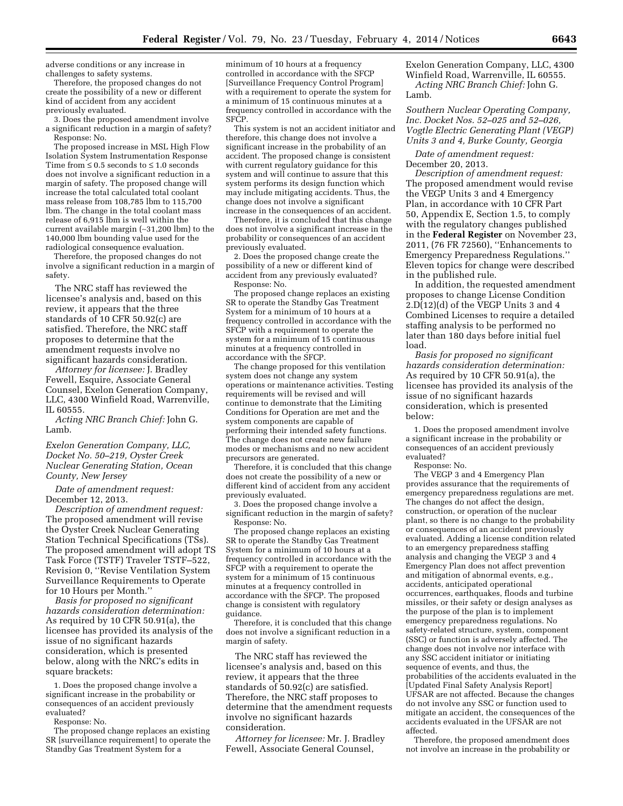adverse conditions or any increase in challenges to safety systems.

Therefore, the proposed changes do not create the possibility of a new or different kind of accident from any accident previously evaluated.

3. Does the proposed amendment involve a significant reduction in a margin of safety? Response: No.

The proposed increase in MSL High Flow Isolation System Instrumentation Response Time from  $\leq 0.5$  seconds to  $\leq 1.0$  seconds does not involve a significant reduction in a margin of safety. The proposed change will increase the total calculated total coolant mass release from 108,785 lbm to 115,700 lbm. The change in the total coolant mass release of 6,915 lbm is well within the current available margin (∼31,200 lbm) to the 140,000 lbm bounding value used for the radiological consequence evaluation.

Therefore, the proposed changes do not involve a significant reduction in a margin of safety.

The NRC staff has reviewed the licensee's analysis and, based on this review, it appears that the three standards of 10 CFR 50.92(c) are satisfied. Therefore, the NRC staff proposes to determine that the amendment requests involve no significant hazards consideration.

*Attorney for licensee:* J. Bradley Fewell, Esquire, Associate General Counsel, Exelon Generation Company, LLC, 4300 Winfield Road, Warrenville, IL 60555.

*Acting NRC Branch Chief:* John G. Lamb.

*Exelon Generation Company, LLC, Docket No. 50–219, Oyster Creek Nuclear Generating Station, Ocean County, New Jersey* 

*Date of amendment request:*  December 12, 2013.

*Description of amendment request:*  The proposed amendment will revise the Oyster Creek Nuclear Generating Station Technical Specifications (TSs). The proposed amendment will adopt TS Task Force (TSTF) Traveler TSTF–522, Revision 0, ''Revise Ventilation System Surveillance Requirements to Operate for 10 Hours per Month.''

*Basis for proposed no significant hazards consideration determination:*  As required by 10 CFR 50.91(a), the licensee has provided its analysis of the issue of no significant hazards consideration, which is presented below, along with the NRC's edits in square brackets:

1. Does the proposed change involve a significant increase in the probability or consequences of an accident previously evaluated?

Response: No.

The proposed change replaces an existing SR [surveillance requirement] to operate the Standby Gas Treatment System for a

minimum of 10 hours at a frequency controlled in accordance with the SFCP [Surveillance Frequency Control Program] with a requirement to operate the system for a minimum of 15 continuous minutes at a frequency controlled in accordance with the SFCP.

This system is not an accident initiator and therefore, this change does not involve a significant increase in the probability of an accident. The proposed change is consistent with current regulatory guidance for this system and will continue to assure that this system performs its design function which may include mitigating accidents. Thus, the change does not involve a significant increase in the consequences of an accident.

Therefore, it is concluded that this change does not involve a significant increase in the probability or consequences of an accident previously evaluated.

2. Does the proposed change create the possibility of a new or different kind of accident from any previously evaluated? Response: No.

The proposed change replaces an existing SR to operate the Standby Gas Treatment System for a minimum of 10 hours at a frequency controlled in accordance with the SFCP with a requirement to operate the system for a minimum of 15 continuous minutes at a frequency controlled in accordance with the SFCP.

The change proposed for this ventilation system does not change any system operations or maintenance activities. Testing requirements will be revised and will continue to demonstrate that the Limiting Conditions for Operation are met and the system components are capable of performing their intended safety functions. The change does not create new failure modes or mechanisms and no new accident precursors are generated.

Therefore, it is concluded that this change does not create the possibility of a new or different kind of accident from any accident previously evaluated.

3. Does the proposed change involve a significant reduction in the margin of safety? Response: No.

The proposed change replaces an existing SR to operate the Standby Gas Treatment System for a minimum of 10 hours at a frequency controlled in accordance with the SFCP with a requirement to operate the system for a minimum of 15 continuous minutes at a frequency controlled in accordance with the SFCP. The proposed change is consistent with regulatory guidance.

Therefore, it is concluded that this change does not involve a significant reduction in a margin of safety.

The NRC staff has reviewed the licensee's analysis and, based on this review, it appears that the three standards of 50.92(c) are satisfied. Therefore, the NRC staff proposes to determine that the amendment requests involve no significant hazards consideration.

*Attorney for licensee:* Mr. J. Bradley Fewell, Associate General Counsel,

Exelon Generation Company, LLC, 4300 Winfield Road, Warrenville, IL 60555. *Acting NRC Branch Chief:* John G. Lamb.

*Southern Nuclear Operating Company, Inc. Docket Nos. 52–025 and 52–026, Vogtle Electric Generating Plant (VEGP) Units 3 and 4, Burke County, Georgia* 

*Date of amendment request:*  December 20, 2013.

*Description of amendment request:*  The proposed amendment would revise the VEGP Units 3 and 4 Emergency Plan, in accordance with 10 CFR Part 50, Appendix E, Section 1.5, to comply with the regulatory changes published in the **Federal Register** on November 23, 2011, (76 FR 72560), ''Enhancements to Emergency Preparedness Regulations.'' Eleven topics for change were described in the published rule.

In addition, the requested amendment proposes to change License Condition 2.D(12)(d) of the VEGP Units 3 and 4 Combined Licenses to require a detailed staffing analysis to be performed no later than 180 days before initial fuel load.

*Basis for proposed no significant hazards consideration determination:*  As required by 10 CFR 50.91(a), the licensee has provided its analysis of the issue of no significant hazards consideration, which is presented below:

1. Does the proposed amendment involve a significant increase in the probability or consequences of an accident previously evaluated?

Response: No.

The VEGP 3 and 4 Emergency Plan provides assurance that the requirements of emergency preparedness regulations are met. The changes do not affect the design, construction, or operation of the nuclear plant, so there is no change to the probability or consequences of an accident previously evaluated. Adding a license condition related to an emergency preparedness staffing analysis and changing the VEGP 3 and 4 Emergency Plan does not affect prevention and mitigation of abnormal events, e.g., accidents, anticipated operational occurrences, earthquakes, floods and turbine missiles, or their safety or design analyses as the purpose of the plan is to implement emergency preparedness regulations. No safety-related structure, system, component (SSC) or function is adversely affected. The change does not involve nor interface with any SSC accident initiator or initiating sequence of events, and thus, the probabilities of the accidents evaluated in the [Updated Final Safety Analysis Report] UFSAR are not affected. Because the changes do not involve any SSC or function used to mitigate an accident, the consequences of the accidents evaluated in the UFSAR are not affected.

Therefore, the proposed amendment does not involve an increase in the probability or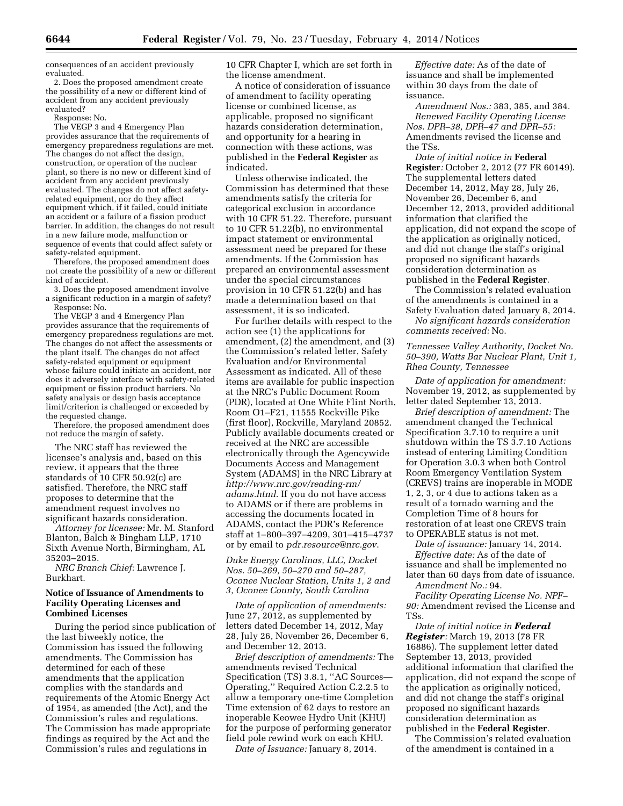consequences of an accident previously evaluated.

2. Does the proposed amendment create the possibility of a new or different kind of accident from any accident previously evaluated?

Response: No.

The VEGP 3 and 4 Emergency Plan provides assurance that the requirements of emergency preparedness regulations are met. The changes do not affect the design, construction, or operation of the nuclear plant, so there is no new or different kind of accident from any accident previously evaluated. The changes do not affect safetyrelated equipment, nor do they affect equipment which, if it failed, could initiate an accident or a failure of a fission product barrier. In addition, the changes do not result in a new failure mode, malfunction or sequence of events that could affect safety or safety-related equipment.

Therefore, the proposed amendment does not create the possibility of a new or different kind of accident.

3. Does the proposed amendment involve a significant reduction in a margin of safety? Response: No.

The VEGP 3 and 4 Emergency Plan provides assurance that the requirements of emergency preparedness regulations are met. The changes do not affect the assessments or the plant itself. The changes do not affect safety-related equipment or equipment whose failure could initiate an accident, nor does it adversely interface with safety-related equipment or fission product barriers. No safety analysis or design basis acceptance limit/criterion is challenged or exceeded by the requested change.

Therefore, the proposed amendment does not reduce the margin of safety.

The NRC staff has reviewed the licensee's analysis and, based on this review, it appears that the three standards of 10 CFR 50.92(c) are satisfied. Therefore, the NRC staff proposes to determine that the amendment request involves no significant hazards consideration.

*Attorney for licensee:* Mr. M. Stanford Blanton, Balch & Bingham LLP, 1710 Sixth Avenue North, Birmingham, AL 35203–2015.

*NRC Branch Chief:* Lawrence J. Burkhart.

### **Notice of Issuance of Amendments to Facility Operating Licenses and Combined Licenses**

During the period since publication of the last biweekly notice, the Commission has issued the following amendments. The Commission has determined for each of these amendments that the application complies with the standards and requirements of the Atomic Energy Act of 1954, as amended (the Act), and the Commission's rules and regulations. The Commission has made appropriate findings as required by the Act and the Commission's rules and regulations in

10 CFR Chapter I, which are set forth in the license amendment.

A notice of consideration of issuance of amendment to facility operating license or combined license, as applicable, proposed no significant hazards consideration determination, and opportunity for a hearing in connection with these actions, was published in the **Federal Register** as indicated.

Unless otherwise indicated, the Commission has determined that these amendments satisfy the criteria for categorical exclusion in accordance with 10 CFR 51.22. Therefore, pursuant to 10 CFR 51.22(b), no environmental impact statement or environmental assessment need be prepared for these amendments. If the Commission has prepared an environmental assessment under the special circumstances provision in 10 CFR 51.22(b) and has made a determination based on that assessment, it is so indicated.

For further details with respect to the action see (1) the applications for amendment, (2) the amendment, and (3) the Commission's related letter, Safety Evaluation and/or Environmental Assessment as indicated. All of these items are available for public inspection at the NRC's Public Document Room (PDR), located at One White Flint North, Room O1–F21, 11555 Rockville Pike (first floor), Rockville, Maryland 20852. Publicly available documents created or received at the NRC are accessible electronically through the Agencywide Documents Access and Management System (ADAMS) in the NRC Library at *[http://www.nrc.gov/reading-rm/](http://www.nrc.gov/reading-rm/adams.html) [adams.html](http://www.nrc.gov/reading-rm/adams.html)*. If you do not have access to ADAMS or if there are problems in accessing the documents located in ADAMS, contact the PDR's Reference staff at 1–800–397–4209, 301–415–4737 or by email to *[pdr.resource@nrc.gov](mailto:pdr.resource@nrc.gov)*.

*Duke Energy Carolinas, LLC, Docket Nos. 50–269, 50–270 and 50–287, Oconee Nuclear Station, Units 1, 2 and 3, Oconee County, South Carolina* 

*Date of application of amendments:*  June 27, 2012, as supplemented by letters dated December 14, 2012, May 28, July 26, November 26, December 6, and December 12, 2013.

*Brief description of amendments:* The amendments revised Technical Specification (TS) 3.8.1, ''AC Sources— Operating,'' Required Action C.2.2.5 to allow a temporary one-time Completion Time extension of 62 days to restore an inoperable Keowee Hydro Unit (KHU) for the purpose of performing generator field pole rewind work on each KHU.

*Date of Issuance:* January 8, 2014.

*Effective date:* As of the date of issuance and shall be implemented within 30 days from the date of issuance.

*Amendment Nos.:* 383, 385, and 384. *Renewed Facility Operating License Nos. DPR–38, DPR–47 and DPR–55:*  Amendments revised the license and the TSs.

*Date of initial notice in* **Federal Register***:* October 2, 2012 (77 FR 60149). The supplemental letters dated December 14, 2012, May 28, July 26, November 26, December 6, and December 12, 2013, provided additional information that clarified the application, did not expand the scope of the application as originally noticed, and did not change the staff's original proposed no significant hazards consideration determination as published in the **Federal Register**.

The Commission's related evaluation of the amendments is contained in a Safety Evaluation dated January 8, 2014.

*No significant hazards consideration comments received:* No.

*Tennessee Valley Authority, Docket No. 50–390, Watts Bar Nuclear Plant, Unit 1, Rhea County, Tennessee* 

*Date of application for amendment:*  November 19, 2012, as supplemented by letter dated September 13, 2013.

*Brief description of amendment:* The amendment changed the Technical Specification 3.7.10 to require a unit shutdown within the TS 3.7.10 Actions instead of entering Limiting Condition for Operation 3.0.3 when both Control Room Emergency Ventilation System (CREVS) trains are inoperable in MODE 1, 2, 3, or 4 due to actions taken as a result of a tornado warning and the Completion Time of 8 hours for restoration of at least one CREVS train to OPERABLE status is not met.

*Date of issuance:* January 14, 2014. *Effective date:* As of the date of issuance and shall be implemented no later than 60 days from date of issuance. *Amendment No.:* 94.

*Facility Operating License No. NPF– 90:* Amendment revised the License and TSs.

*Date of initial notice in Federal Register:* March 19, 2013 (78 FR 16886). The supplement letter dated September 13, 2013, provided additional information that clarified the application, did not expand the scope of the application as originally noticed, and did not change the staff's original proposed no significant hazards consideration determination as published in the **Federal Register**.

The Commission's related evaluation of the amendment is contained in a